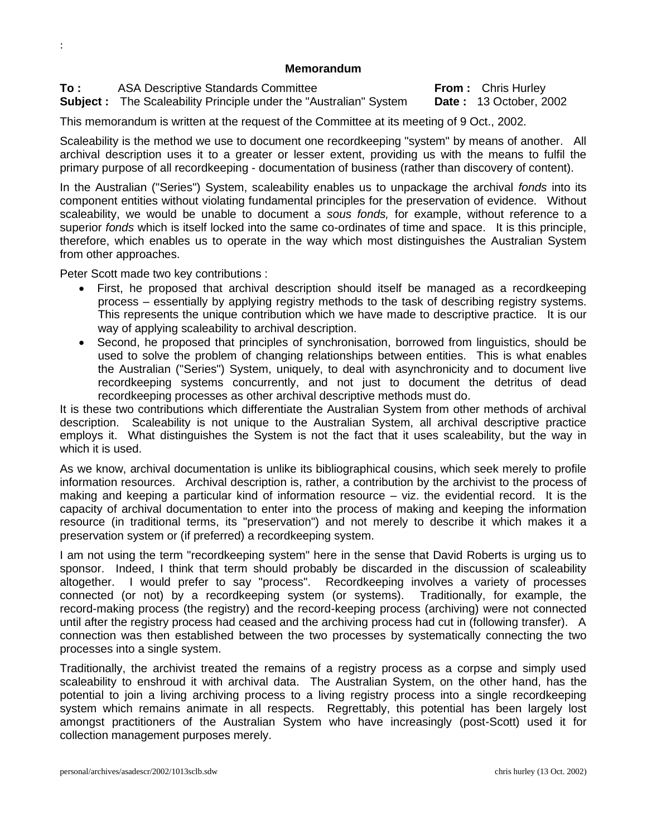## **Memorandum**

**To :** ASA Descriptive Standards Committee **From :** Chris Hurley

:

**Subject :** The Scaleability Principle under the "Australian" System **Date :** 13 October, 2002

This memorandum is written at the request of the Committee at its meeting of 9 Oct., 2002.

Scaleability is the method we use to document one recordkeeping "system" by means of another. All archival description uses it to a greater or lesser extent, providing us with the means to fulfil the primary purpose of all recordkeeping - documentation of business (rather than discovery of content).

In the Australian ("Series") System, scaleability enables us to unpackage the archival *fonds* into its component entities without violating fundamental principles for the preservation of evidence. Without scaleability, we would be unable to document a *sous fonds,* for example, without reference to a superior *fonds* which is itself locked into the same co-ordinates of time and space. It is this principle, therefore, which enables us to operate in the way which most distinguishes the Australian System from other approaches.

Peter Scott made two key contributions :

- First, he proposed that archival description should itself be managed as a recordkeeping process – essentially by applying registry methods to the task of describing registry systems. This represents the unique contribution which we have made to descriptive practice. It is our way of applying scaleability to archival description.
- Second, he proposed that principles of synchronisation, borrowed from linguistics, should be used to solve the problem of changing relationships between entities. This is what enables the Australian ("Series") System, uniquely, to deal with asynchronicity and to document live recordkeeping systems concurrently, and not just to document the detritus of dead recordkeeping processes as other archival descriptive methods must do.

It is these two contributions which differentiate the Australian System from other methods of archival description. Scaleability is not unique to the Australian System, all archival descriptive practice employs it. What distinguishes the System is not the fact that it uses scaleability, but the way in which it is used.

As we know, archival documentation is unlike its bibliographical cousins, which seek merely to profile information resources. Archival description is, rather, a contribution by the archivist to the process of making and keeping a particular kind of information resource – viz. the evidential record. It is the capacity of archival documentation to enter into the process of making and keeping the information resource (in traditional terms, its "preservation") and not merely to describe it which makes it a preservation system or (if preferred) a recordkeeping system.

I am not using the term "recordkeeping system" here in the sense that David Roberts is urging us to sponsor. Indeed, I think that term should probably be discarded in the discussion of scaleability altogether. I would prefer to say "process". Recordkeeping involves a variety of processes connected (or not) by a recordkeeping system (or systems). Traditionally, for example, the record-making process (the registry) and the record-keeping process (archiving) were not connected until after the registry process had ceased and the archiving process had cut in (following transfer). A connection was then established between the two processes by systematically connecting the two processes into a single system.

Traditionally, the archivist treated the remains of a registry process as a corpse and simply used scaleability to enshroud it with archival data. The Australian System, on the other hand, has the potential to join a living archiving process to a living registry process into a single recordkeeping system which remains animate in all respects. Regrettably, this potential has been largely lost amongst practitioners of the Australian System who have increasingly (post-Scott) used it for collection management purposes merely.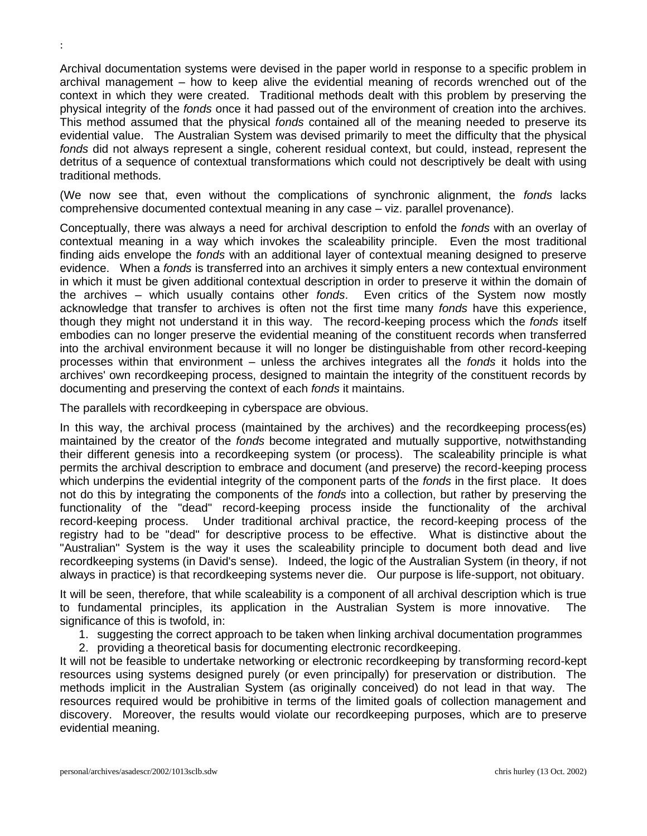Archival documentation systems were devised in the paper world in response to a specific problem in archival management – how to keep alive the evidential meaning of records wrenched out of the context in which they were created. Traditional methods dealt with this problem by preserving the physical integrity of the *fonds* once it had passed out of the environment of creation into the archives. This method assumed that the physical *fonds* contained all of the meaning needed to preserve its evidential value. The Australian System was devised primarily to meet the difficulty that the physical *fonds* did not always represent a single, coherent residual context, but could, instead, represent the detritus of a sequence of contextual transformations which could not descriptively be dealt with using traditional methods.

(We now see that, even without the complications of synchronic alignment, the *fonds* lacks comprehensive documented contextual meaning in any case – viz. parallel provenance).

Conceptually, there was always a need for archival description to enfold the *fonds* with an overlay of contextual meaning in a way which invokes the scaleability principle. Even the most traditional finding aids envelope the *fonds* with an additional layer of contextual meaning designed to preserve evidence. When a *fonds* is transferred into an archives it simply enters a new contextual environment in which it must be given additional contextual description in order to preserve it within the domain of the archives – which usually contains other *fonds*. Even critics of the System now mostly acknowledge that transfer to archives is often not the first time many *fonds* have this experience, though they might not understand it in this way. The record-keeping process which the *fonds* itself embodies can no longer preserve the evidential meaning of the constituent records when transferred into the archival environment because it will no longer be distinguishable from other record-keeping processes within that environment – unless the archives integrates all the *fonds* it holds into the archives' own recordkeeping process, designed to maintain the integrity of the constituent records by documenting and preserving the context of each *fonds* it maintains.

The parallels with recordkeeping in cyberspace are obvious.

In this way, the archival process (maintained by the archives) and the recordkeeping process(es) maintained by the creator of the *fonds* become integrated and mutually supportive, notwithstanding their different genesis into a recordkeeping system (or process). The scaleability principle is what permits the archival description to embrace and document (and preserve) the record-keeping process which underpins the evidential integrity of the component parts of the *fonds* in the first place. It does not do this by integrating the components of the *fonds* into a collection, but rather by preserving the functionality of the "dead" record-keeping process inside the functionality of the archival record-keeping process. Under traditional archival practice, the record-keeping process of the registry had to be "dead" for descriptive process to be effective. What is distinctive about the "Australian" System is the way it uses the scaleability principle to document both dead and live recordkeeping systems (in David's sense). Indeed, the logic of the Australian System (in theory, if not always in practice) is that recordkeeping systems never die. Our purpose is life-support, not obituary.

It will be seen, therefore, that while scaleability is a component of all archival description which is true to fundamental principles, its application in the Australian System is more innovative. The significance of this is twofold, in:

- 1. suggesting the correct approach to be taken when linking archival documentation programmes
- 2. providing a theoretical basis for documenting electronic recordkeeping.

It will not be feasible to undertake networking or electronic recordkeeping by transforming record-kept resources using systems designed purely (or even principally) for preservation or distribution. The methods implicit in the Australian System (as originally conceived) do not lead in that way. The resources required would be prohibitive in terms of the limited goals of collection management and discovery. Moreover, the results would violate our recordkeeping purposes, which are to preserve evidential meaning.

: